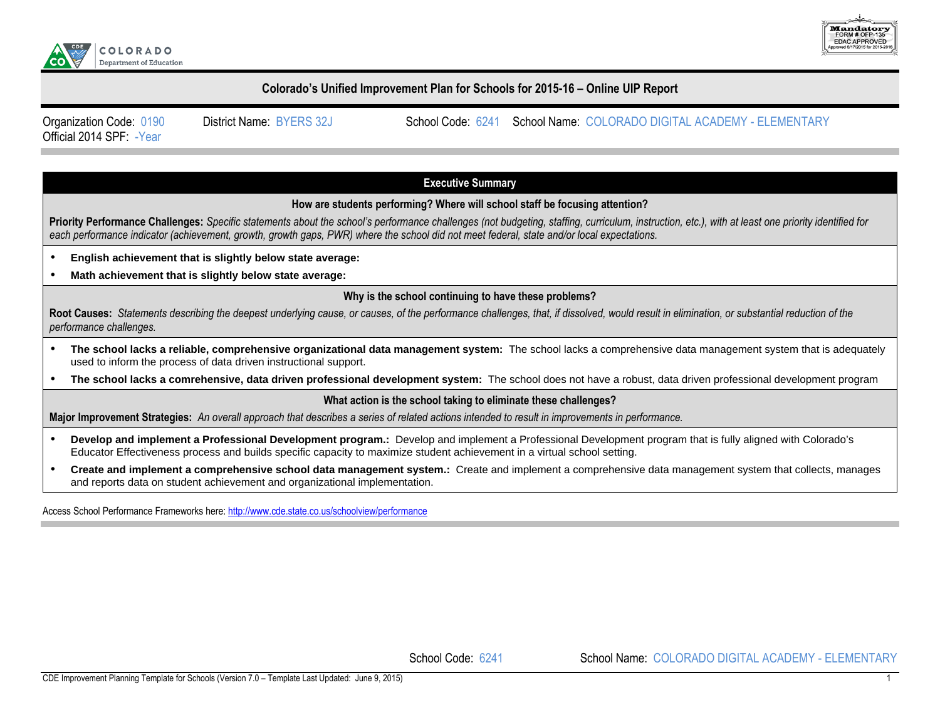



# **Colorado's Unified Improvement Plan for Schools for 2015-16 – Online UIP Report**

| Organization Code: 0190<br>Official 2014 SPF: -Year | District Name: BYERS 32J                                                                                                                        |                                                                 | School Code: 6241 School Name: COLORADO DIGITAL ACADEMY - ELEMENTARY                                                                                                                               |
|-----------------------------------------------------|-------------------------------------------------------------------------------------------------------------------------------------------------|-----------------------------------------------------------------|----------------------------------------------------------------------------------------------------------------------------------------------------------------------------------------------------|
|                                                     |                                                                                                                                                 | <b>Executive Summary</b>                                        |                                                                                                                                                                                                    |
|                                                     |                                                                                                                                                 |                                                                 | How are students performing? Where will school staff be focusing attention?                                                                                                                        |
|                                                     | each performance indicator (achievement, growth, growth gaps, PWR) where the school did not meet federal, state and/or local expectations.      |                                                                 | Priority Performance Challenges: Specific statements about the school's performance challenges (not budgeting, staffing, curriculum, instruction, etc.), with at least one priority identified for |
| $\bullet$                                           | English achievement that is slightly below state average:                                                                                       |                                                                 |                                                                                                                                                                                                    |
|                                                     | Math achievement that is slightly below state average:                                                                                          |                                                                 |                                                                                                                                                                                                    |
|                                                     |                                                                                                                                                 | Why is the school continuing to have these problems?            |                                                                                                                                                                                                    |
| performance challenges.                             |                                                                                                                                                 |                                                                 | Root Causes: Statements describing the deepest underlying cause, or causes, of the performance challenges, that, if dissolved, would result in elimination, or substantial reduction of the        |
|                                                     | used to inform the process of data driven instructional support.                                                                                |                                                                 | The school lacks a reliable, comprehensive organizational data management system: The school lacks a comprehensive data management system that is adequately                                       |
|                                                     |                                                                                                                                                 |                                                                 | The school lacks a comrehensive, data driven professional development system: The school does not have a robust, data driven professional development program                                      |
|                                                     |                                                                                                                                                 | What action is the school taking to eliminate these challenges? |                                                                                                                                                                                                    |
|                                                     | Major Improvement Strategies: An overall approach that describes a series of related actions intended to result in improvements in performance. |                                                                 |                                                                                                                                                                                                    |
|                                                     | Educator Effectiveness process and builds specific capacity to maximize student achievement in a virtual school setting.                        |                                                                 | Develop and implement a Professional Development program.: Develop and implement a Professional Development program that is fully aligned with Colorado's                                          |
| $\bullet$                                           | and reports data on student achievement and organizational implementation.                                                                      |                                                                 | Create and implement a comprehensive school data management system.: Create and implement a comprehensive data management system that collects, manages                                            |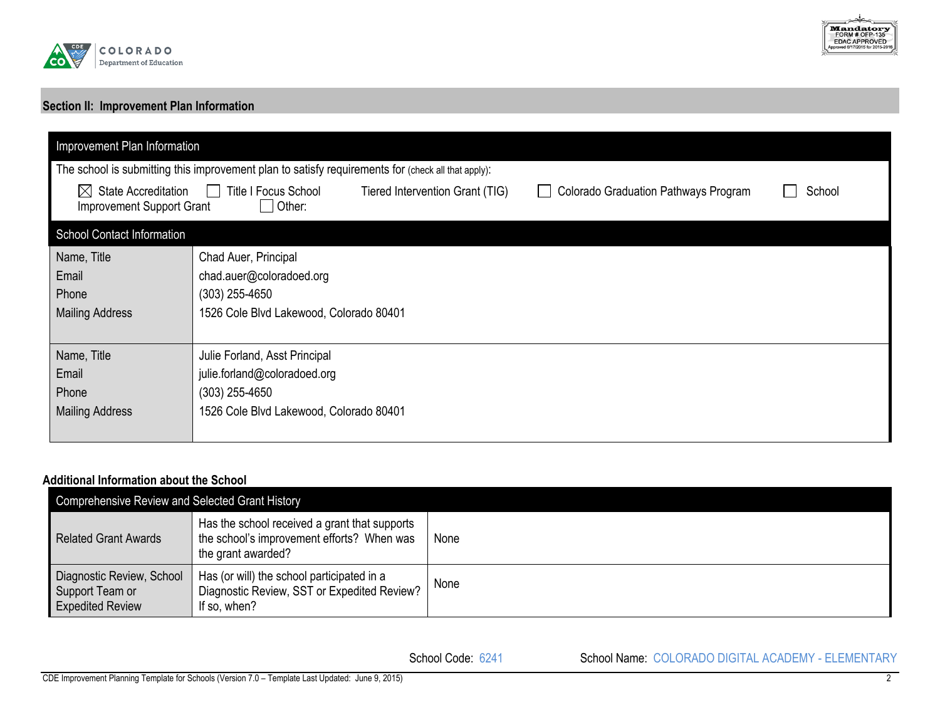



# **Section II: Improvement Plan Information**

| Improvement Plan Information                                                |                                                                                                                                            |  |  |  |  |  |  |
|-----------------------------------------------------------------------------|--------------------------------------------------------------------------------------------------------------------------------------------|--|--|--|--|--|--|
|                                                                             | The school is submitting this improvement plan to satisfy requirements for (check all that apply):                                         |  |  |  |  |  |  |
| <b>State Accreditation</b><br>$\bowtie$<br><b>Improvement Support Grant</b> | Title I Focus School<br><b>Colorado Graduation Pathways Program</b><br>Tiered Intervention Grant (TIG)<br>School<br>$\mathbf{1}$<br>Other: |  |  |  |  |  |  |
| <b>School Contact Information</b>                                           |                                                                                                                                            |  |  |  |  |  |  |
| Name, Title                                                                 | Chad Auer, Principal                                                                                                                       |  |  |  |  |  |  |
| Email                                                                       | chad.auer@coloradoed.org                                                                                                                   |  |  |  |  |  |  |
| Phone                                                                       | $(303)$ 255-4650                                                                                                                           |  |  |  |  |  |  |
| <b>Mailing Address</b>                                                      | 1526 Cole Blvd Lakewood, Colorado 80401                                                                                                    |  |  |  |  |  |  |
|                                                                             |                                                                                                                                            |  |  |  |  |  |  |
| Name, Title                                                                 | Julie Forland, Asst Principal                                                                                                              |  |  |  |  |  |  |
| Email                                                                       | julie.forland@coloradoed.org                                                                                                               |  |  |  |  |  |  |
| Phone                                                                       | $(303)$ 255-4650                                                                                                                           |  |  |  |  |  |  |
| <b>Mailing Address</b>                                                      | 1526 Cole Blvd Lakewood, Colorado 80401                                                                                                    |  |  |  |  |  |  |
|                                                                             |                                                                                                                                            |  |  |  |  |  |  |

# **Additional Information about the School**

| <b>Comprehensive Review and Selected Grant History</b>                  |                                                                                                                   |      |  |  |
|-------------------------------------------------------------------------|-------------------------------------------------------------------------------------------------------------------|------|--|--|
| <b>Related Grant Awards</b>                                             | Has the school received a grant that supports<br>the school's improvement efforts? When was<br>the grant awarded? | None |  |  |
| Diagnostic Review, School<br>Support Team or<br><b>Expedited Review</b> | Has (or will) the school participated in a<br>Diagnostic Review, SST or Expedited Review?<br>If so, when?         | None |  |  |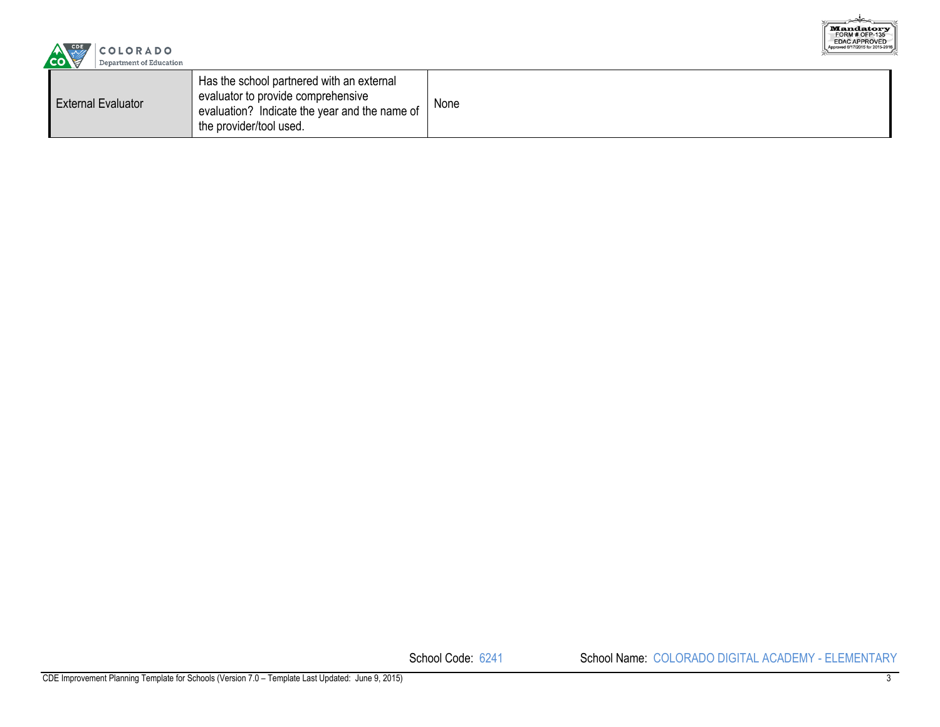



| <b>External Evaluator</b> | Has the school partnered with an external<br>evaluator to provide comprehensive<br>evaluation? Indicate the year and the name of<br>the provider/tool used. | None |
|---------------------------|-------------------------------------------------------------------------------------------------------------------------------------------------------------|------|
|---------------------------|-------------------------------------------------------------------------------------------------------------------------------------------------------------|------|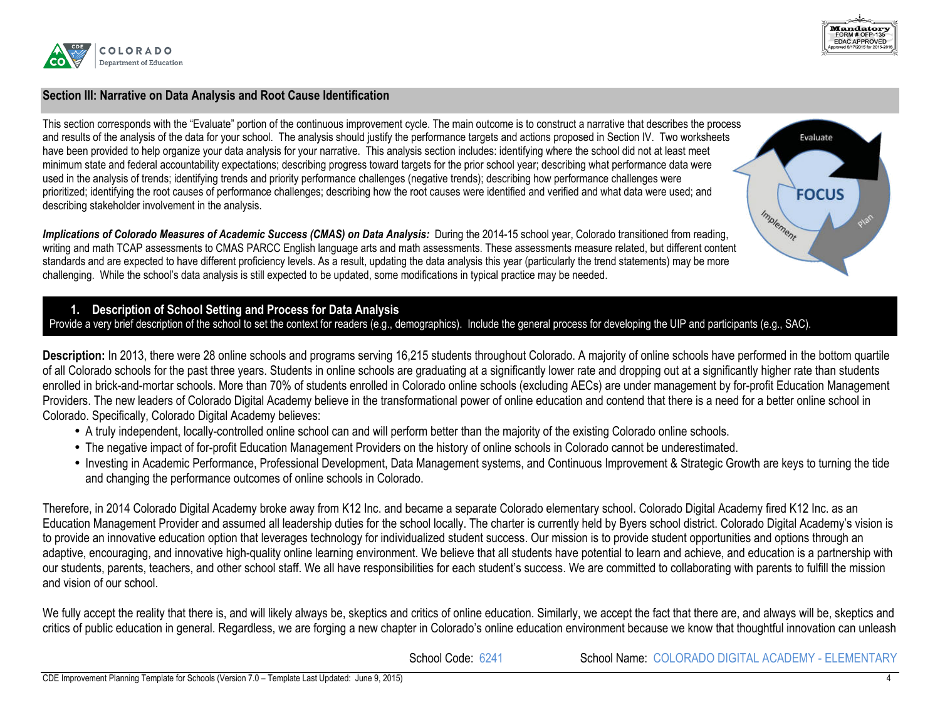



### **Section III: Narrative on Data Analysis and Root Cause Identification**

This section corresponds with the "Evaluate" portion of the continuous improvement cycle. The main outcome is to construct a narrative that describes the process and results of the analysis of the data for your school. The analysis should justify the performance targets and actions proposed in Section IV. Two worksheets have been provided to help organize your data analysis for your narrative. This analysis section includes: identifying where the school did not at least meet minimum state and federal accountability expectations; describing progress toward targets for the prior school year; describing what performance data were used in the analysis of trends; identifying trends and priority performance challenges (negative trends); describing how performance challenges were prioritized; identifying the root causes of performance challenges; describing how the root causes were identified and verified and what data were used; and describing stakeholder involvement in the analysis.

*Implications of Colorado Measures of Academic Success (CMAS) on Data Analysis:* During the 2014-15 school year, Colorado transitioned from reading, writing and math TCAP assessments to CMAS PARCC English language arts and math assessments. These assessments measure related, but different content standards and are expected to have different proficiency levels. As a result, updating the data analysis this year (particularly the trend statements) may be more challenging. While the school's data analysis is still expected to be updated, some modifications in typical practice may be needed.

# **1. Description of School Setting and Process for Data Analysis**

Provide a very brief description of the school to set the context for readers (e.g., demographics). Include the general process for developing the UIP and participants (e.g., SAC).

**Description:** In 2013, there were 28 online schools and programs serving 16,215 students throughout Colorado. A majority of online schools have performed in the bottom quartile of all Colorado schools for the past three years. Students in online schools are graduating at a significantly lower rate and dropping out at a significantly higher rate than students enrolled in brick-and-mortar schools. More than 70% of students enrolled in Colorado online schools (excluding AECs) are under management by for-profit Education Management Providers. The new leaders of Colorado Digital Academy believe in the transformational power of online education and contend that there is a need for a better online school in Colorado. Specifically, Colorado Digital Academy believes:

- A truly independent, locally-controlled online school can and will perform better than the majority of the existing Colorado online schools.
- The negative impact of for-profit Education Management Providers on the history of online schools in Colorado cannot be underestimated.
- Investing in Academic Performance, Professional Development, Data Management systems, and Continuous Improvement & Strategic Growth are keys to turning the tide and changing the performance outcomes of online schools in Colorado.

Therefore, in 2014 Colorado Digital Academy broke away from K12 Inc. and became a separate Colorado elementary school. Colorado Digital Academy fired K12 Inc. as an Education Management Provider and assumed all leadership duties for the school locally. The charter is currently held by Byers school district. Colorado Digital Academy's vision is to provide an innovative education option that leverages technology for individualized student success. Our mission is to provide student opportunities and options through an adaptive, encouraging, and innovative high-quality online learning environment. We believe that all students have potential to learn and achieve, and education is a partnership with our students, parents, teachers, and other school staff. We all have responsibilities for each student's success. We are committed to collaborating with parents to fulfill the mission and vision of our school.

We fully accept the reality that there is, and will likely always be, skeptics and critics of online education. Similarly, we accept the fact that there are, and always will be, skeptics and critics of public education in general. Regardless, we are forging a new chapter in Colorado's online education environment because we know that thoughtful innovation can unleash

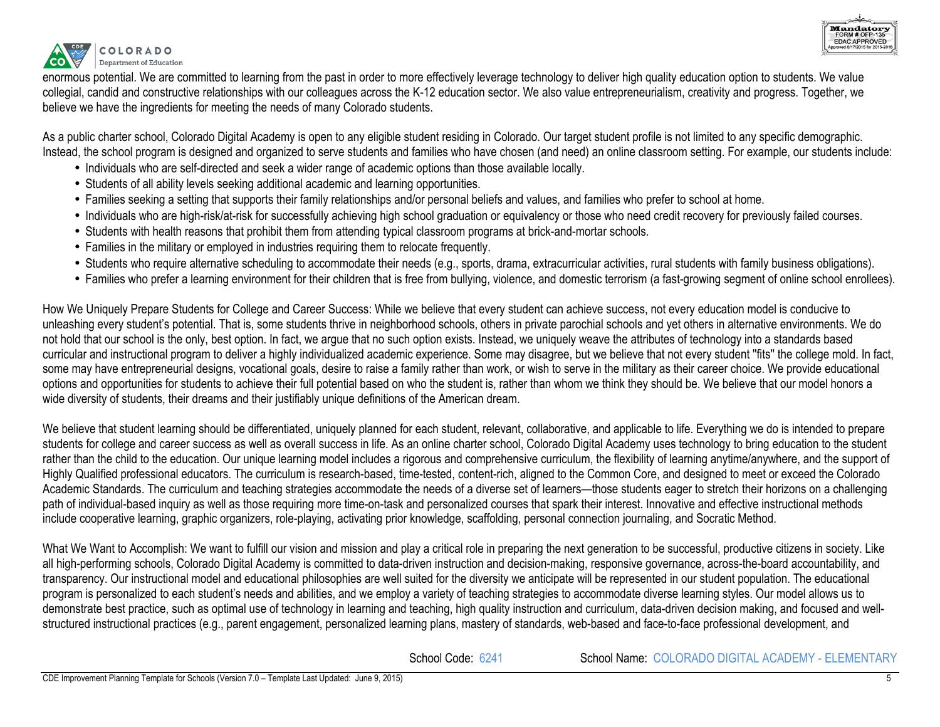



enormous potential. We are committed to learning from the past in order to more effectively leverage technology to deliver high quality education option to students. We value collegial, candid and constructive relationships with our colleagues across the K-12 education sector. We also value entrepreneurialism, creativity and progress. Together, we believe we have the ingredients for meeting the needs of many Colorado students.

As a public charter school, Colorado Digital Academy is open to any eligible student residing in Colorado. Our target student profile is not limited to any specific demographic. Instead, the school program is designed and organized to serve students and families who have chosen (and need) an online classroom setting. For example, our students include:

- Individuals who are self-directed and seek a wider range of academic options than those available locally.
- Students of all ability levels seeking additional academic and learning opportunities.
- Families seeking a setting that supports their family relationships and/or personal beliefs and values, and families who prefer to school at home.
- Individuals who are high-risk/at-risk for successfully achieving high school graduation or equivalency or those who need credit recovery for previously failed courses.
- Students with health reasons that prohibit them from attending typical classroom programs at brick-and-mortar schools.
- Families in the military or employed in industries requiring them to relocate frequently.
- Students who require alternative scheduling to accommodate their needs (e.g., sports, drama, extracurricular activities, rural students with family business obligations).
- Families who prefer a learning environment for their children that is free from bullying, violence, and domestic terrorism (a fast-growing segment of online school enrollees).

How We Uniquely Prepare Students for College and Career Success: While we believe that every student can achieve success, not every education model is conducive to unleashing every student's potential. That is, some students thrive in neighborhood schools, others in private parochial schools and yet others in alternative environments. We do not hold that our school is the only, best option. In fact, we argue that no such option exists. Instead, we uniquely weave the attributes of technology into a standards based curricular and instructional program to deliver a highly individualized academic experience. Some may disagree, but we believe that not every student ''fits'' the college mold. In fact, some may have entrepreneurial designs, vocational goals, desire to raise a family rather than work, or wish to serve in the military as their career choice. We provide educational options and opportunities for students to achieve their full potential based on who the student is, rather than whom we think they should be. We believe that our model honors a wide diversity of students, their dreams and their justifiably unique definitions of the American dream.

We believe that student learning should be differentiated, uniquely planned for each student, relevant, collaborative, and applicable to life. Everything we do is intended to prepare students for college and career success as well as overall success in life. As an online charter school, Colorado Digital Academy uses technology to bring education to the student rather than the child to the education. Our unique learning model includes a rigorous and comprehensive curriculum, the flexibility of learning anytime/anywhere, and the support of Highly Qualified professional educators. The curriculum is research-based, time-tested, content-rich, aligned to the Common Core, and designed to meet or exceed the Colorado Academic Standards. The curriculum and teaching strategies accommodate the needs of a diverse set of learners—those students eager to stretch their horizons on a challenging path of individual-based inquiry as well as those requiring more time-on-task and personalized courses that spark their interest. Innovative and effective instructional methods include cooperative learning, graphic organizers, role-playing, activating prior knowledge, scaffolding, personal connection journaling, and Socratic Method.

What We Want to Accomplish: We want to fulfill our vision and mission and play a critical role in preparing the next generation to be successful, productive citizens in society. Like all high-performing schools, Colorado Digital Academy is committed to data-driven instruction and decision-making, responsive governance, across-the-board accountability, and transparency. Our instructional model and educational philosophies are well suited for the diversity we anticipate will be represented in our student population. The educational program is personalized to each student's needs and abilities, and we employ a variety of teaching strategies to accommodate diverse learning styles. Our model allows us to demonstrate best practice, such as optimal use of technology in learning and teaching, high quality instruction and curriculum, data-driven decision making, and focused and wellstructured instructional practices (e.g., parent engagement, personalized learning plans, mastery of standards, web-based and face-to-face professional development, and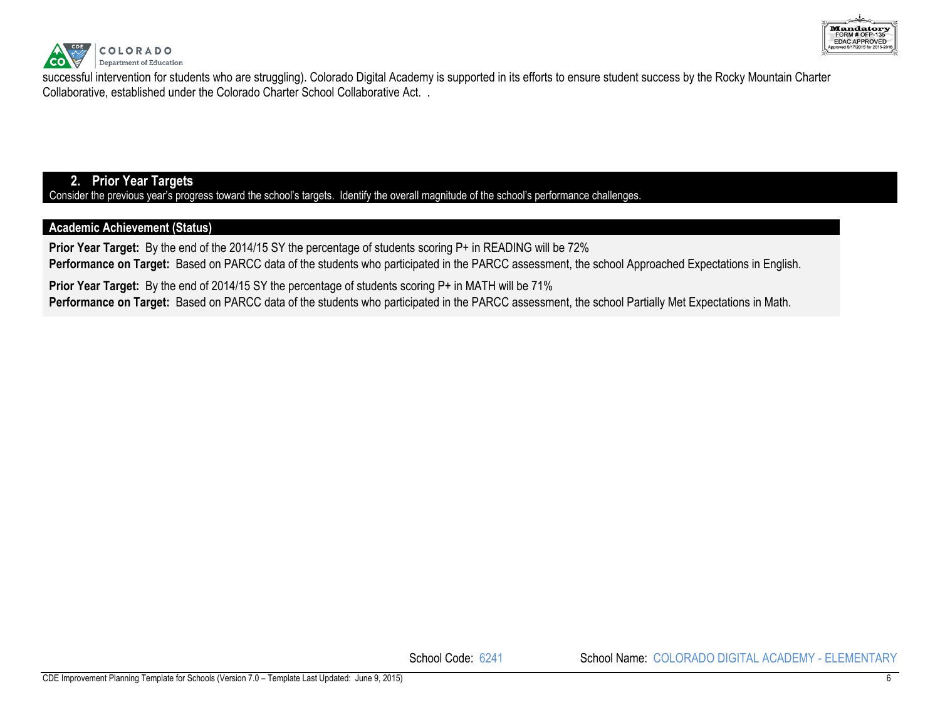



successful intervention for students who are struggling). Colorado Digital Academy is supported in its efforts to ensure student success by the Rocky Mountain Charter Collaborative, established under the Colorado Charter School Collaborative Act. .

# **2. Prior Year Targets**

Consider the previous year's progress toward the school's targets. Identify the overall magnitude of the school's performance challenges.

# **Academic Achievement (Status)**

**Prior Year Target:** By the end of the 2014/15 SY the percentage of students scoring P+ in READING will be 72% **Performance on Target:** Based on PARCC data of the students who participated in the PARCC assessment, the school Approached Expectations in English.

**Prior Year Target:** By the end of 2014/15 SY the percentage of students scoring P+ in MATH will be 71% **Performance on Target:** Based on PARCC data of the students who participated in the PARCC assessment, the school Partially Met Expectations in Math.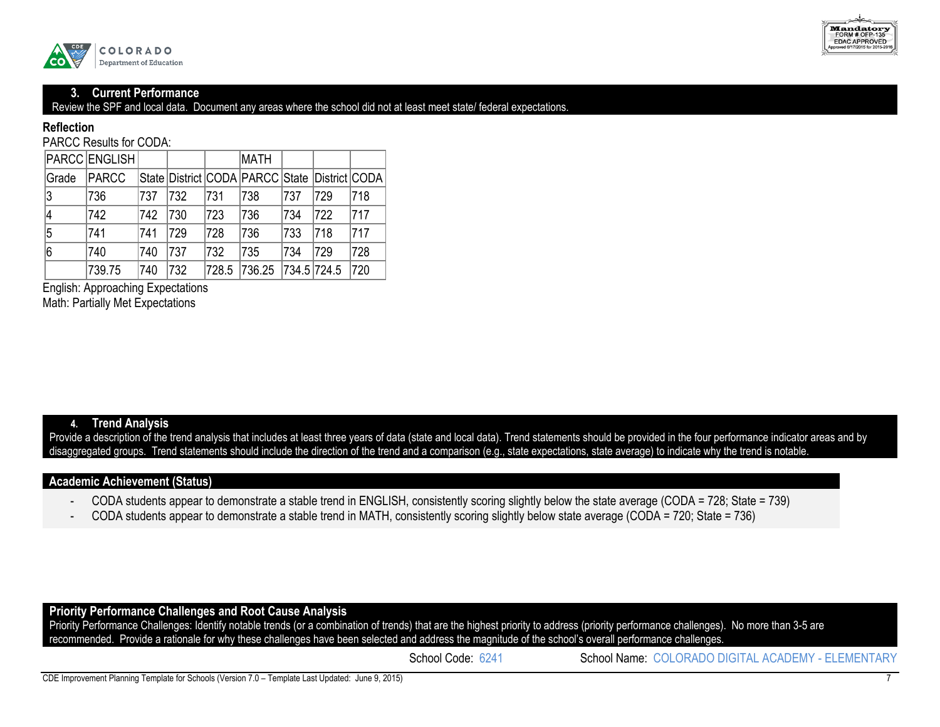

# **3. Current Performance**

Review the SPF and local data. Document any areas where the school did not at least meet state/ federal expectations.

#### **Reflection**

PARCC Results for CODA:

|       | <b>PARCC ENGLISH</b> |     |     |       | MATH                                          |             |     |     |
|-------|----------------------|-----|-----|-------|-----------------------------------------------|-------------|-----|-----|
| Grade | <b>PARCC</b>         |     |     |       | State District CODA PARCC State District CODA |             |     |     |
| 13    | 736                  | 737 | 732 | 731   | 738                                           | 737         | 729 | 718 |
|       | 742                  | 742 | 730 | 723   | 736                                           | 734         | 722 | 717 |
| 5     | 741                  | 741 | 729 | 728   | 736                                           | 733         | 718 | 717 |
| 6     | 740                  | 740 | 737 | 732   | 735                                           | 734         | 729 | 728 |
|       | 739.75               | 740 | 732 | 728.5 | 736.25                                        | 734.5 724.5 |     | 720 |

English: Approaching Expectations Math: Partially Met Expectations

# **4. Trend Analysis**

Provide a description of the trend analysis that includes at least three years of data (state and local data). Trend statements should be provided in the four performance indicator areas and by disaggregated groups. Trend statements should include the direction of the trend and a comparison (e.g., state expectations, state average) to indicate why the trend is notable.

### **Academic Achievement (Status)**

- CODA students appear to demonstrate a stable trend in ENGLISH, consistently scoring slightly below the state average (CODA = 728; State = 739)
- CODA students appear to demonstrate a stable trend in MATH, consistently scoring slightly below state average (CODA = 720; State = 736)

**Priority Performance Challenges and Root Cause Analysis**

Priority Performance Challenges: Identify notable trends (or a combination of trends) that are the highest priority to address (priority performance challenges). No more than 3-5 are recommended. Provide a rationale for why these challenges have been selected and address the magnitude of the school's overall performance challenges.

School Code: 6241 School Name: COLORADO DIGITAL ACADEMY - ELEMENTARY

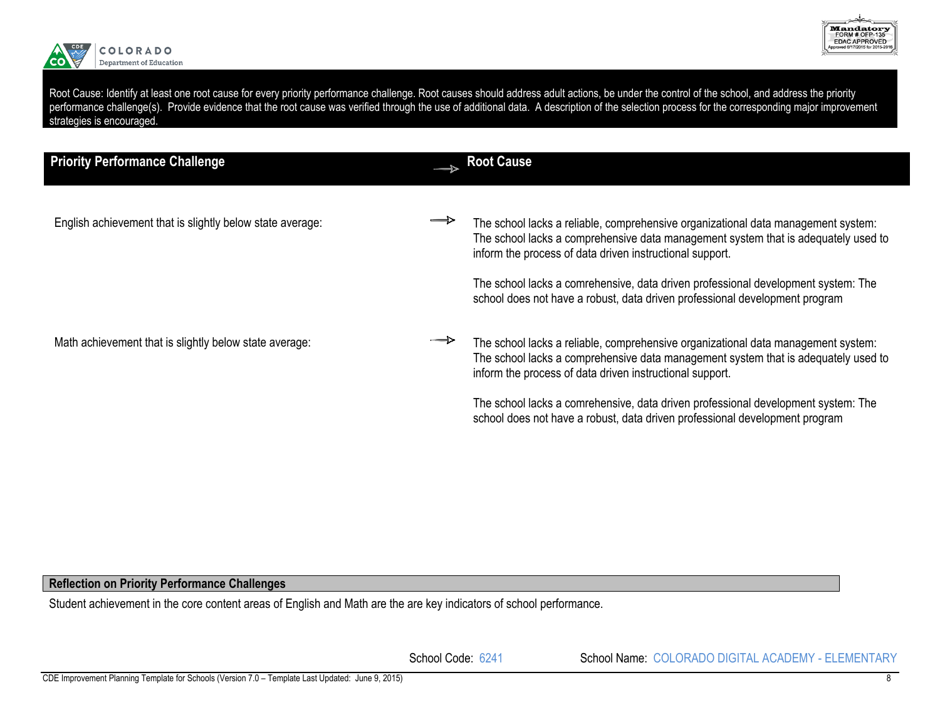



Root Cause: Identify at least one root cause for every priority performance challenge. Root causes should address adult actions, be under the control of the school, and address the priority performance challenge(s). Provide evidence that the root cause was verified through the use of additional data. A description of the selection process for the corresponding major improvement strategies is encouraged.

| <b>Priority Performance Challenge</b>                     |               | <b>Root Cause</b>                                                                                                                                                                                                                   |
|-----------------------------------------------------------|---------------|-------------------------------------------------------------------------------------------------------------------------------------------------------------------------------------------------------------------------------------|
|                                                           |               |                                                                                                                                                                                                                                     |
| English achievement that is slightly below state average: | $\Rightarrow$ | The school lacks a reliable, comprehensive organizational data management system:<br>The school lacks a comprehensive data management system that is adequately used to<br>inform the process of data driven instructional support. |
|                                                           |               | The school lacks a comrehensive, data driven professional development system: The<br>school does not have a robust, data driven professional development program                                                                    |
| Math achievement that is slightly below state average:    |               | The school lacks a reliable, comprehensive organizational data management system:<br>The school lacks a comprehensive data management system that is adequately used to<br>inform the process of data driven instructional support. |
|                                                           |               | The school lacks a comrehensive, data driven professional development system: The<br>school does not have a robust, data driven professional development program                                                                    |

### **Reflection on Priority Performance Challenges**

Student achievement in the core content areas of English and Math are the are key indicators of school performance.

School Code: 6241 School Name: COLORADO DIGITAL ACADEMY - ELEMENTARY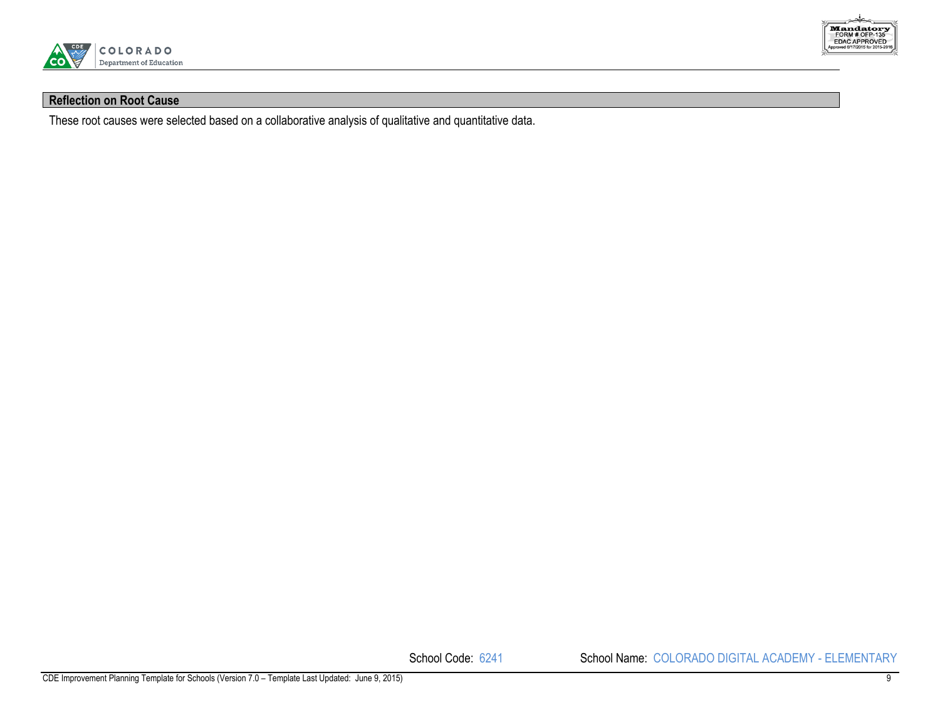



## **Reflection on Root Cause**

These root causes were selected based on a collaborative analysis of qualitative and quantitative data.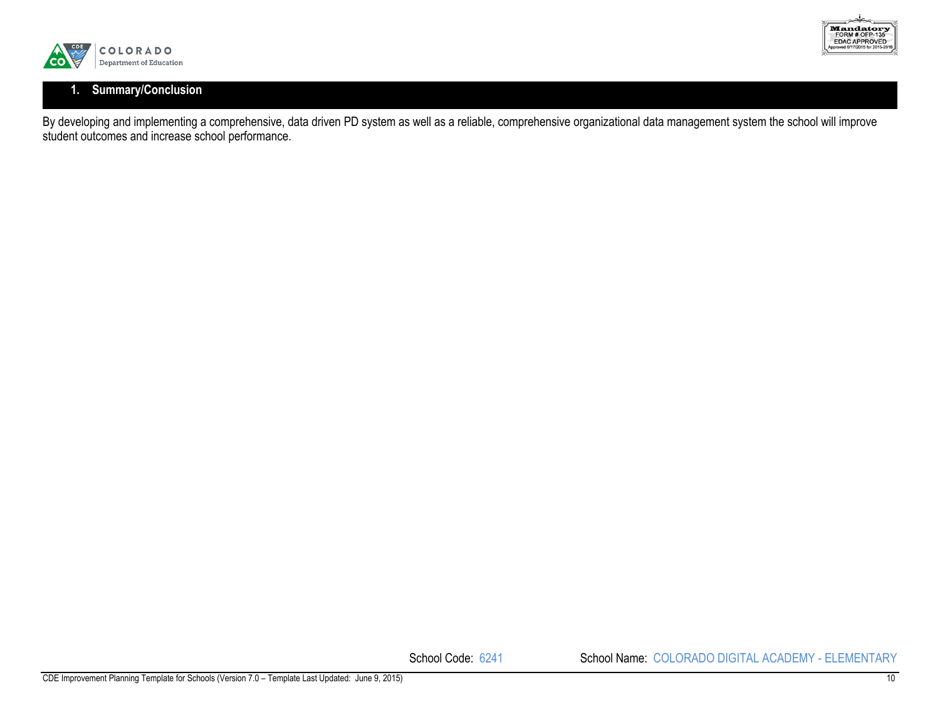



# **1. Summary/Conclusion**

By developing and implementing a comprehensive, data driven PD system as well as a reliable, comprehensive organizational data management system the school will improve student outcomes and increase school performance.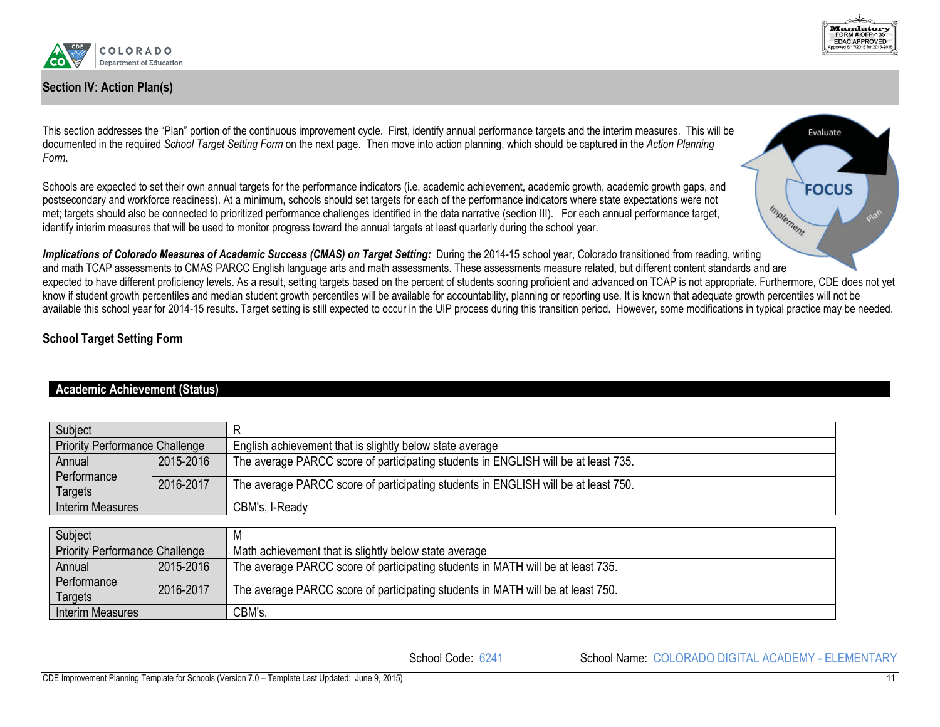

# **Section IV: Action Plan(s)**



This section addresses the "Plan" portion of the continuous improvement cycle. First, identify annual performance targets and the interim measures. This will be documented in the required *School Target Setting Form* on the next page. Then move into action planning, which should be captured in the *Action Planning Form*.

Schools are expected to set their own annual targets for the performance indicators (i.e. academic achievement, academic growth, academic growth gaps, and postsecondary and workforce readiness). At a minimum, schools should set targets for each of the performance indicators where state expectations were not met; targets should also be connected to prioritized performance challenges identified in the data narrative (section III). For each annual performance target, identify interim measures that will be used to monitor progress toward the annual targets at least quarterly during the school year.



Implications of Colorado Measures of Academic Success (CMAS) on Target Setting: During the 2014-15 school year, Colorado transitioned from reading, writing and math TCAP assessments to CMAS PARCC English language arts and math assessments. These assessments measure related, but different content standards and are expected to have different proficiency levels. As a result, setting targets based on the percent of students scoring proficient and advanced on TCAP is not appropriate. Furthermore, CDE does not yet know if student growth percentiles and median student growth percentiles will be available for accountability, planning or reporting use. It is known that adequate growth percentiles will not be available this school year for 2014-15 results. Target setting is still expected to occur in the UIP process during this transition period. However, some modifications in typical practice may be needed.

## **School Target Setting Form**

# **Academic Achievement (Status)**

| Subject                               |           |                                                                                    |
|---------------------------------------|-----------|------------------------------------------------------------------------------------|
| <b>Priority Performance Challenge</b> |           | English achievement that is slightly below state average                           |
| Annual                                | 2015-2016 | The average PARCC score of participating students in ENGLISH will be at least 735. |
| Performance                           |           |                                                                                    |
| Targets                               | 2016-2017 | The average PARCC score of participating students in ENGLISH will be at least 750. |
| Interim Measures                      |           | CBM's, I-Ready                                                                     |

| Subject                        |           |                                                                                 |
|--------------------------------|-----------|---------------------------------------------------------------------------------|
| Priority Performance Challenge |           | Math achievement that is slightly below state average                           |
| Annual                         | 2015-2016 | The average PARCC score of participating students in MATH will be at least 735. |
| Performance                    |           |                                                                                 |
| <b>Targets</b>                 | 2016-2017 | The average PARCC score of participating students in MATH will be at least 750. |
| Interim Measures               |           | CBM's.                                                                          |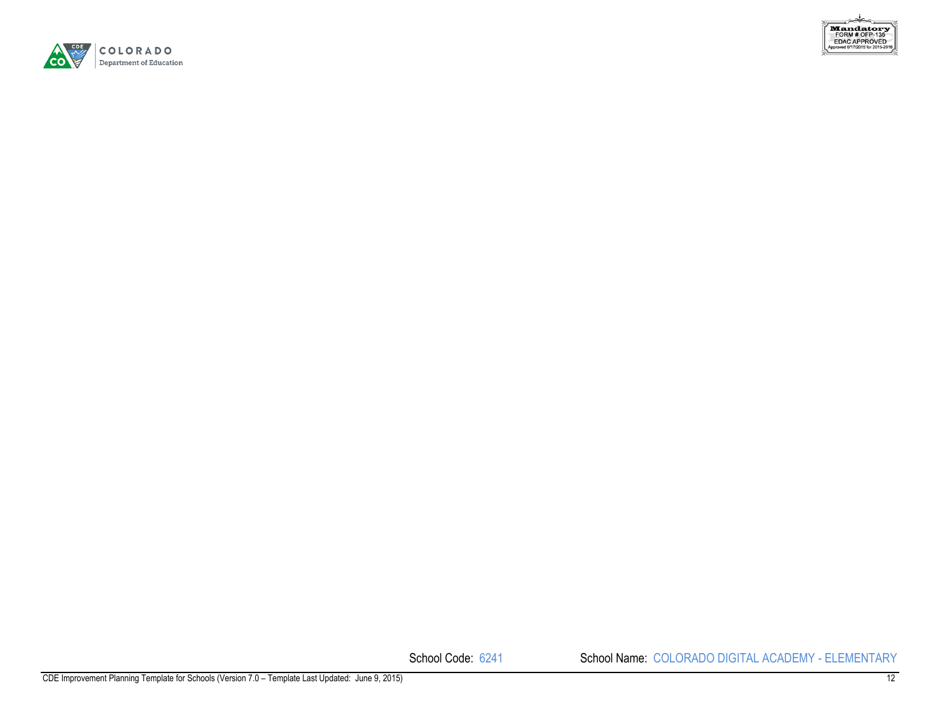

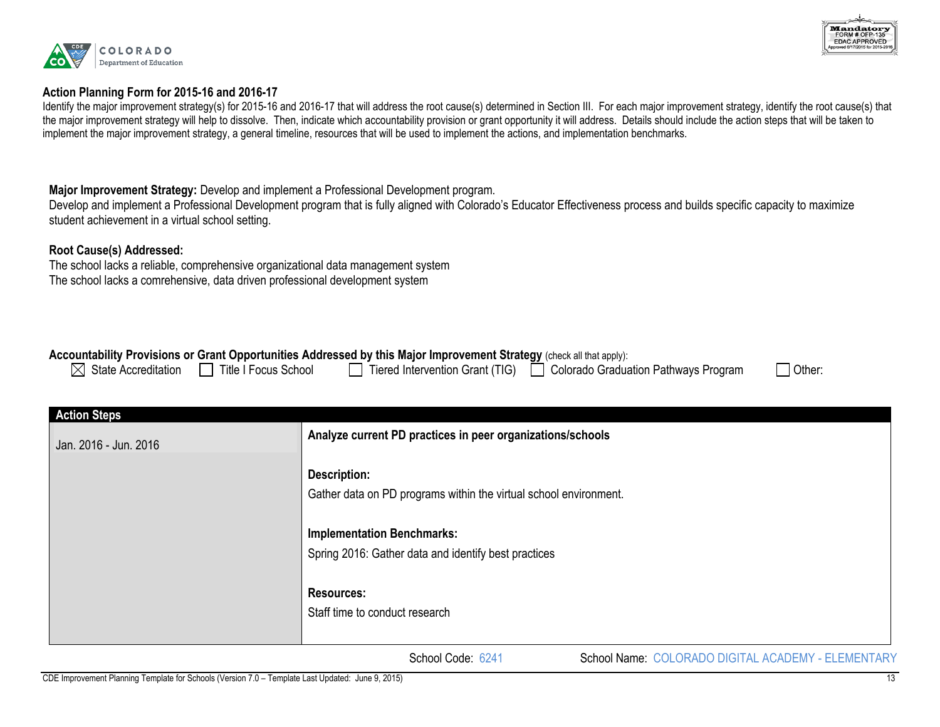

## **Action Planning Form for 2015-16 and 2016-17**

COLORADO Department of Education

Identify the major improvement strategy(s) for 2015-16 and 2016-17 that will address the root cause(s) determined in Section III. For each major improvement strategy, identify the root cause(s) that the major improvement strategy will help to dissolve. Then, indicate which accountability provision or grant opportunity it will address. Details should include the action steps that will be taken to implement the major improvement strategy, a general timeline, resources that will be used to implement the actions, and implementation benchmarks.

**Major Improvement Strategy:** Develop and implement a Professional Development program.

Develop and implement a Professional Development program that is fully aligned with Colorado's Educator Effectiveness process and builds specific capacity to maximize student achievement in a virtual school setting.

### **Root Cause(s) Addressed:**

The school lacks a reliable, comprehensive organizational data management system The school lacks a comrehensive, data driven professional development system

### **Accountability Provisions or Grant Opportunities Addressed by this Major Improvement Strategy** (check all that apply):

|                                              | ------                     |                                                                                         |        |
|----------------------------------------------|----------------------------|-----------------------------------------------------------------------------------------|--------|
| State Accreditatio<br>ιXΙ<br>. Accreditation | Title I.<br>I Focus School | (T G)<br>Colorado Graduation Pathways Program<br>Tiered Intervention<br><i>S</i> rant ' | Other: |

| <b>Action Steps</b>   |                                                                   |
|-----------------------|-------------------------------------------------------------------|
| Jan. 2016 - Jun. 2016 | Analyze current PD practices in peer organizations/schools        |
|                       | <b>Description:</b>                                               |
|                       | Gather data on PD programs within the virtual school environment. |
|                       | <b>Implementation Benchmarks:</b>                                 |
|                       | Spring 2016: Gather data and identify best practices              |
|                       | <b>Resources:</b>                                                 |
|                       | Staff time to conduct research                                    |
|                       |                                                                   |

School Code: 6241 School Name: COLORADO DIGITAL ACADEMY - ELEMENTARY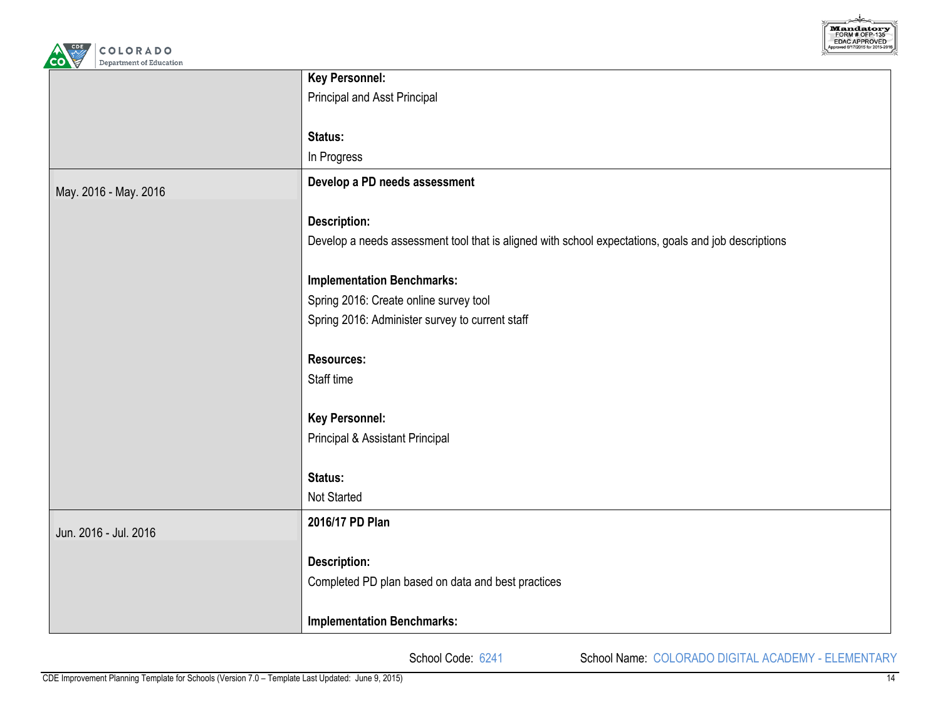



|                       | <b>Key Personnel:</b>                                                                                |
|-----------------------|------------------------------------------------------------------------------------------------------|
|                       | Principal and Asst Principal                                                                         |
|                       |                                                                                                      |
|                       | Status:                                                                                              |
|                       | In Progress                                                                                          |
| May. 2016 - May. 2016 | Develop a PD needs assessment                                                                        |
|                       | <b>Description:</b>                                                                                  |
|                       | Develop a needs assessment tool that is aligned with school expectations, goals and job descriptions |
|                       | <b>Implementation Benchmarks:</b>                                                                    |
|                       | Spring 2016: Create online survey tool                                                               |
|                       | Spring 2016: Administer survey to current staff                                                      |
|                       |                                                                                                      |
|                       | <b>Resources:</b>                                                                                    |
|                       | Staff time                                                                                           |
|                       |                                                                                                      |
|                       | <b>Key Personnel:</b>                                                                                |
|                       | Principal & Assistant Principal                                                                      |
|                       |                                                                                                      |
|                       | Status:                                                                                              |
|                       | Not Started                                                                                          |
| Jun. 2016 - Jul. 2016 | 2016/17 PD Plan                                                                                      |
|                       |                                                                                                      |
|                       | <b>Description:</b><br>Completed PD plan based on data and best practices                            |
|                       |                                                                                                      |
|                       | <b>Implementation Benchmarks:</b>                                                                    |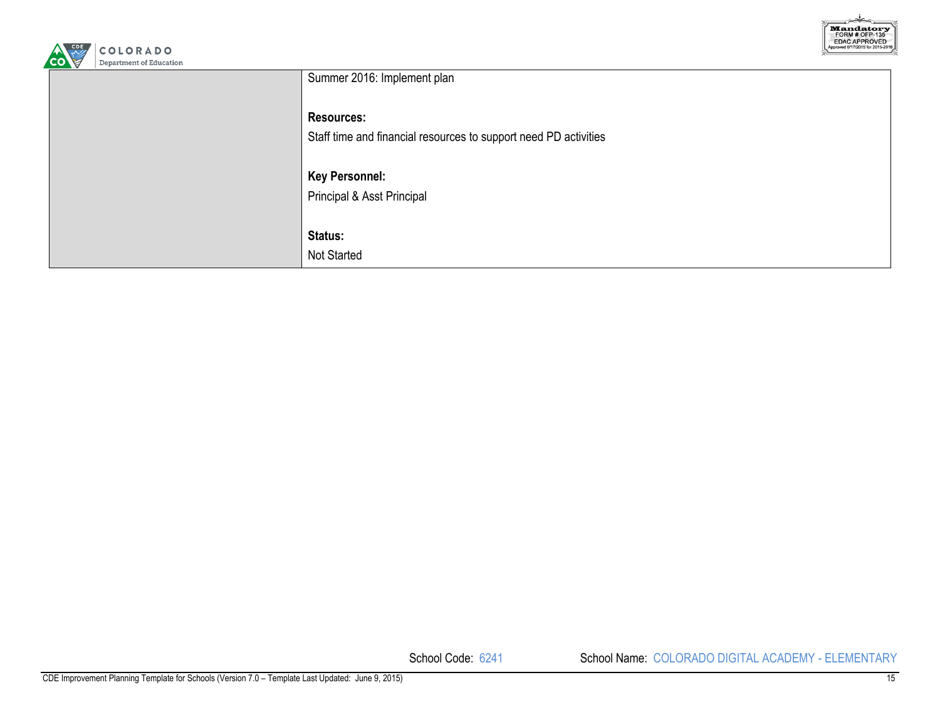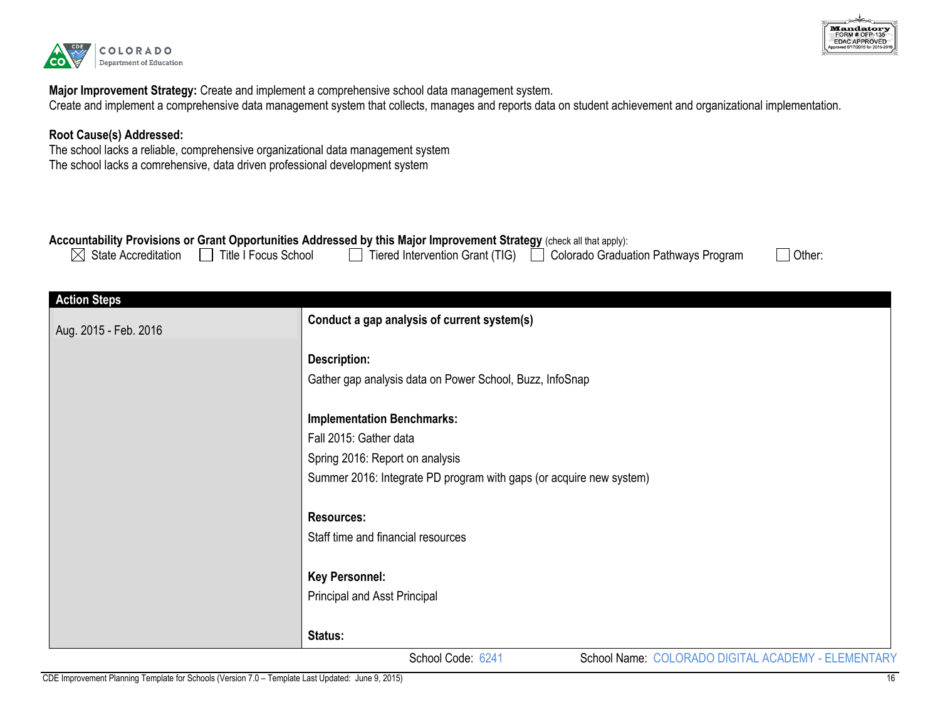



# **Major Improvement Strategy:** Create and implement a comprehensive school data management system.

Create and implement a comprehensive data management system that collects, manages and reports data on student achievement and organizational implementation.

# **Root Cause(s) Addressed:**

The school lacks a reliable, comprehensive organizational data management system The school lacks a comrehensive, data driven professional development system

### **Accountability Provisions or Grant Opportunities Addressed by this Major Improvement Strategy** (check all that apply):

| <u>.</u><br>.                   |     |
|---------------------------------|-----|
| $\boxtimes$ State Accreditation | ┌┐┐ |

Title I Focus School  $\Box$  Tiered Intervention Grant (TIG)  $\Box$  Colorado Graduation Pathways Program  $\Box$  Other:

| <b>Action Steps</b>   |                                                                         |
|-----------------------|-------------------------------------------------------------------------|
| Aug. 2015 - Feb. 2016 | Conduct a gap analysis of current system(s)                             |
|                       | Description:                                                            |
|                       | Gather gap analysis data on Power School, Buzz, InfoSnap                |
|                       | <b>Implementation Benchmarks:</b>                                       |
|                       | Fall 2015: Gather data                                                  |
|                       | Spring 2016: Report on analysis                                         |
|                       | Summer 2016: Integrate PD program with gaps (or acquire new system)     |
|                       | <b>Resources:</b>                                                       |
|                       | Staff time and financial resources                                      |
|                       | <b>Key Personnel:</b>                                                   |
|                       | Principal and Asst Principal                                            |
|                       | Status:                                                                 |
|                       | School Code: 6241<br>School Name: COLORADO DIGITAL ACADEMY - ELEMENTARY |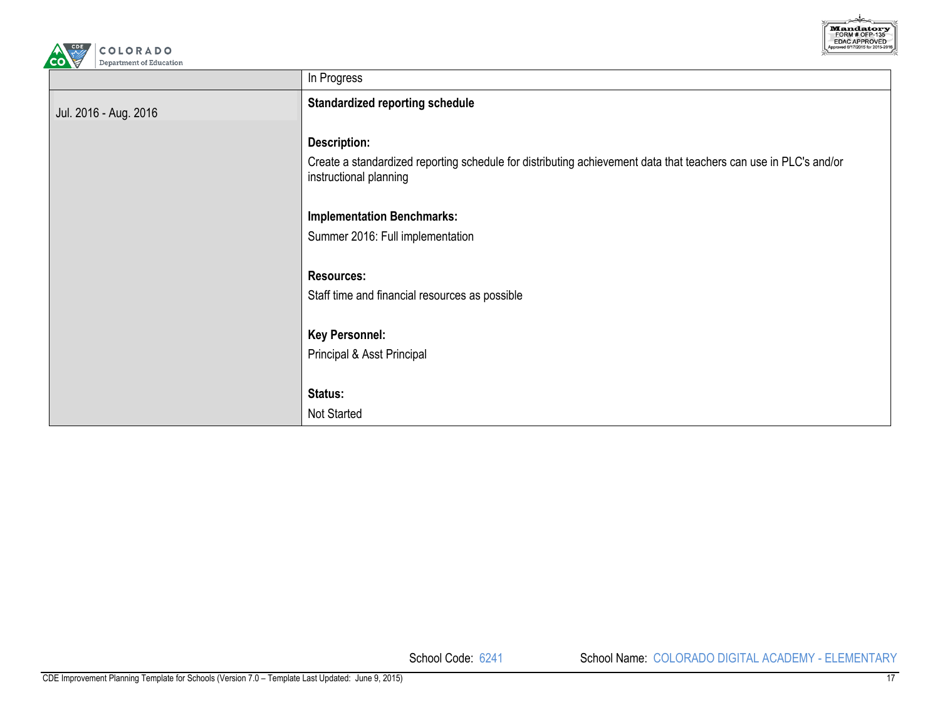



|                       | In Progress                                                                                                                                |
|-----------------------|--------------------------------------------------------------------------------------------------------------------------------------------|
| Jul. 2016 - Aug. 2016 | <b>Standardized reporting schedule</b>                                                                                                     |
|                       | <b>Description:</b>                                                                                                                        |
|                       | Create a standardized reporting schedule for distributing achievement data that teachers can use in PLC's and/or<br>instructional planning |
|                       | <b>Implementation Benchmarks:</b>                                                                                                          |
|                       | Summer 2016: Full implementation                                                                                                           |
|                       | <b>Resources:</b>                                                                                                                          |
|                       | Staff time and financial resources as possible                                                                                             |
|                       | <b>Key Personnel:</b>                                                                                                                      |
|                       | Principal & Asst Principal                                                                                                                 |
|                       | Status:                                                                                                                                    |
|                       | Not Started                                                                                                                                |